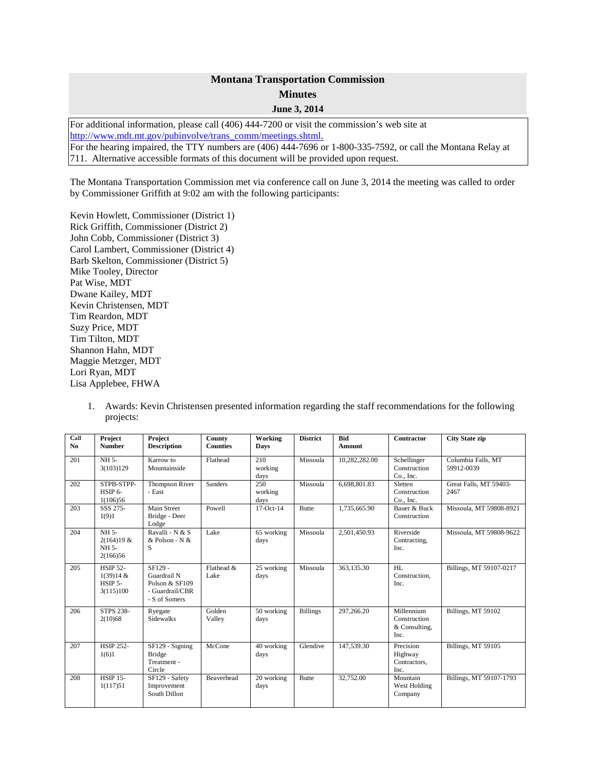## **Montana Transportation Commission Minutes June 3, 2014**

For additional information, please call (406) 444-7200 or visit the commission's web site at [http://www.mdt.mt.gov/pubinvolve/trans\\_comm/meetings.shtml.](http://www.mdt.mt.gov/pubinvolve/trans_comm/meetings.shtml) For the hearing impaired, the TTY numbers are (406) 444-7696 or 1-800-335-7592, or call the Montana Relay at 711. Alternative accessible formats of this document will be provided upon request.

The Montana Transportation Commission met via conference call on June 3, 2014 the meeting was called to order by Commissioner Griffith at 9:02 am with the following participants:

Kevin Howlett, Commissioner (District 1) Rick Griffith, Commissioner (District 2) John Cobb, Commissioner (District 3) Carol Lambert, Commissioner (District 4) Barb Skelton, Commissioner (District 5) Mike Tooley, Director Pat Wise, MDT Dwane Kailey, MDT Kevin Christensen, MDT Tim Reardon, MDT Suzy Price, MDT Tim Tilton, MDT Shannon Hahn, MDT Maggie Metzger, MDT Lori Ryan, MDT Lisa Applebee, FHWA

> 1. Awards: Kevin Christensen presented information regarding the staff recommendations for the following projects:

| Call<br>No | Project<br><b>Number</b>                             | Project<br><b>Description</b>                                                | County<br><b>Counties</b> | Working<br>Days        | <b>District</b> | <b>Bid</b><br><b>Amount</b> | <b>Contractor</b>                                   | <b>City State zip</b>            |
|------------|------------------------------------------------------|------------------------------------------------------------------------------|---------------------------|------------------------|-----------------|-----------------------------|-----------------------------------------------------|----------------------------------|
| 201        | NH 5-<br>3(103)129                                   | Karrow to<br>Mountainside                                                    | Flathead                  | 210<br>working<br>days | Missoula        | 10,282,282.00               | Schellinger<br>Construction<br>Co., Inc.            | Columbia Falls, MT<br>59912-0039 |
| 202        | STPB-STPP-<br>HSIP 6-<br>1(106)56                    | Thompson River<br>- East                                                     | <b>Sanders</b>            | 250<br>working<br>days | Missoula        | 6,698,801.83                | Sletten<br>Construction<br>Co., Inc.                | Great Falls, MT 59403-<br>2467   |
| 203        | SSS 275-<br>1(9)1                                    | Main Street<br>Bridge - Deer<br>Lodge                                        | Powell                    | $17-Oct-14$            | <b>Butte</b>    | 1.735.665.90                | Bauer & Buck<br>Construction                        | Missoula, MT 59808-8921          |
| 204        | NH <sub>5</sub><br>2(164)19 &<br>NH 5-<br>2(166)56   | Ravalli - N & S<br>& Polson - N &<br>S                                       | Lake                      | 65 working<br>days     | Missoula        | 2,501,450.93                | Riverside<br>Contracting,<br>Inc.                   | Missoula, MT 59808-9622          |
| 205        | <b>HSIP 52-</b><br>1(39)14 &<br>HSIP 5-<br>3(115)100 | SF129 -<br>Guardrail N<br>Polson & SF109<br>- Guardrail/CBR<br>- S of Somers | Flathead &<br>Lake        | 25 working<br>days     | Missoula        | 363,135.30                  | HI.<br>Construction,<br>Inc.                        | Billings, MT 59107-0217          |
| 206        | <b>STPS 238-</b><br>2(10)68                          | Ryegate<br><b>Sidewalks</b>                                                  | Golden<br>Valley          | 50 working<br>days     | <b>Billings</b> | 297,266.20                  | Millennium<br>Construction<br>& Consulting,<br>Inc. | Billings, MT 59102               |
| 207        | <b>HSIP 252-</b><br>1(6)1                            | SF129 - Signing<br>Bridge<br>Treatment -<br>Circle                           | McCone                    | 40 working<br>days     | Glendive        | 147,539.30                  | Precision<br>Highway<br>Contractors,<br>Inc.        | Billings, MT 59105               |
| 208        | <b>HSIP 15-</b><br>1(117)51                          | SF129 - Safety<br>Improvement<br>South Dillon                                | <b>Beaverhead</b>         | 20 working<br>days     | <b>Butte</b>    | 32,752.00                   | Mountain<br>West Holding<br>Company                 | Billings, MT 59107-1793          |